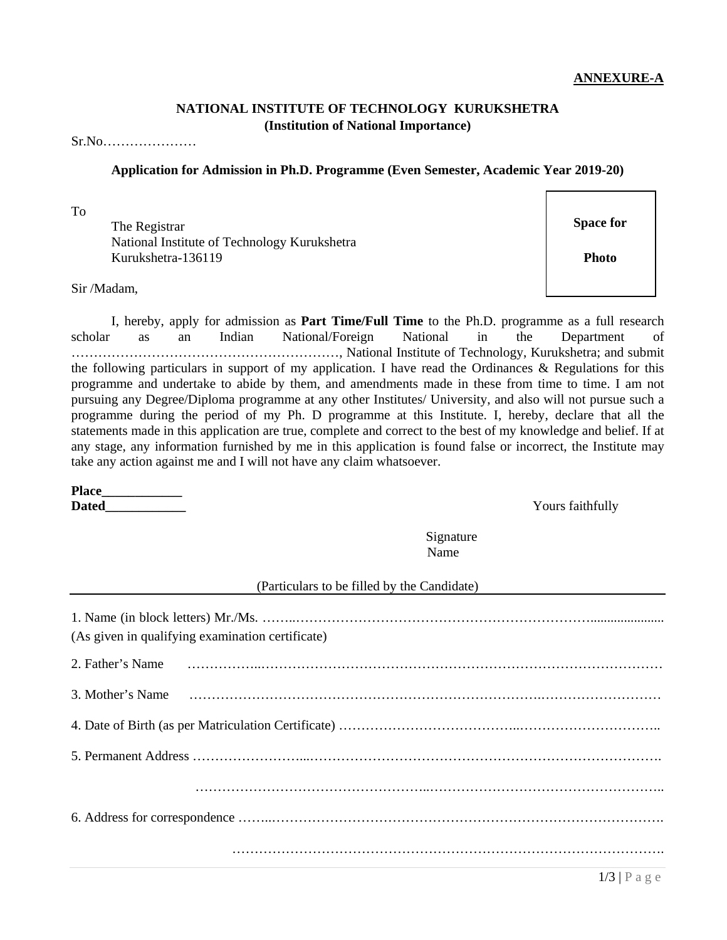## **Application for Admission in Ph.D. Programme (Even Semester, Academic Year 2019-20)**

**NATIONAL INSTITUTE OF TECHNOLOGY KURUKSHETRA (Institution of National Importance)**

To

**Space for** Space for  $\blacksquare$ National Institute of Technology Kurukshetra Kurukshetra-136119

Sir /Madam,

Sr.No…………………

I, hereby, apply for admission as **Part Time/Full Time** to the Ph.D. programme as a full research scholar as an Indian National/Foreign National in the Department of ……………………………………………………, National Institute of Technology, Kurukshetra; and submit the following particulars in support of my application. I have read the Ordinances & Regulations for this programme and undertake to abide by them, and amendments made in these from time to time. I am not pursuing any Degree/Diploma programme at any other Institutes/ University, and also will not pursue such a programme during the period of my Ph. D programme at this Institute. I, hereby, declare that all the statements made in this application are true, complete and correct to the best of my knowledge and belief. If at any stage, any information furnished by me in this application is found false or incorrect, the Institute may take any action against me and I will not have any claim whatsoever.

**Place\_\_\_\_\_\_\_\_\_\_\_\_ Dated** Yours faithfully

Signature Name

(Particulars to be filled by the Candidate)

| (As given in qualifying examination certificate) |  |  |  |  |  |  |
|--------------------------------------------------|--|--|--|--|--|--|
|                                                  |  |  |  |  |  |  |
|                                                  |  |  |  |  |  |  |
|                                                  |  |  |  |  |  |  |
|                                                  |  |  |  |  |  |  |
|                                                  |  |  |  |  |  |  |
|                                                  |  |  |  |  |  |  |
|                                                  |  |  |  |  |  |  |

**Photo**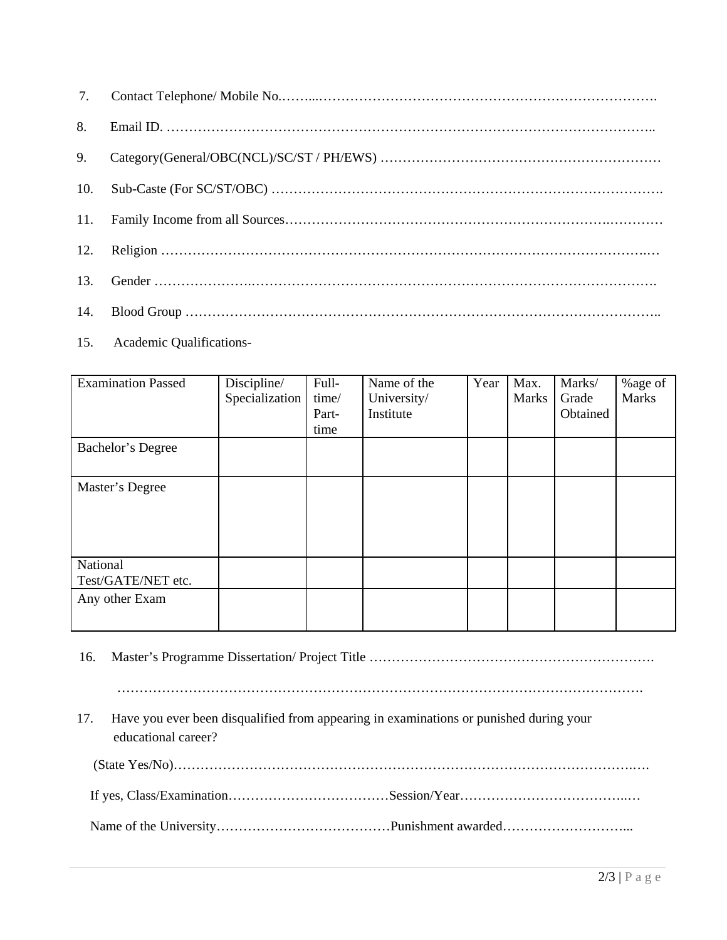| 7.  |  |
|-----|--|
| 8.  |  |
| 9.  |  |
| 10. |  |
| 11. |  |
| 12. |  |
| 13. |  |
| 14. |  |

15. Academic Qualifications-

| <b>Examination Passed</b>      | Discipline/<br>Specialization | Full-<br>time/<br>Part-<br>time | Name of the<br>University/<br>Institute | Year | Max.<br><b>Marks</b> | Marks/<br>Grade<br>Obtained | %age of<br><b>Marks</b> |
|--------------------------------|-------------------------------|---------------------------------|-----------------------------------------|------|----------------------|-----------------------------|-------------------------|
| Bachelor's Degree              |                               |                                 |                                         |      |                      |                             |                         |
| Master's Degree                |                               |                                 |                                         |      |                      |                             |                         |
| National<br>Test/GATE/NET etc. |                               |                                 |                                         |      |                      |                             |                         |
| Any other Exam                 |                               |                                 |                                         |      |                      |                             |                         |

16. Master's Programme Dissertation/ Project Title ……………………………………………………….

……………………………………………………………………………………………………….

17. Have you ever been disqualified from appearing in examinations or punished during your educational career?

(State Yes/No)………………………………………………………………………………………….….

If yes, Class/Examination………………………………Session/Year………………………………..…

Name of the University…………………………………Punishment awarded………………………...